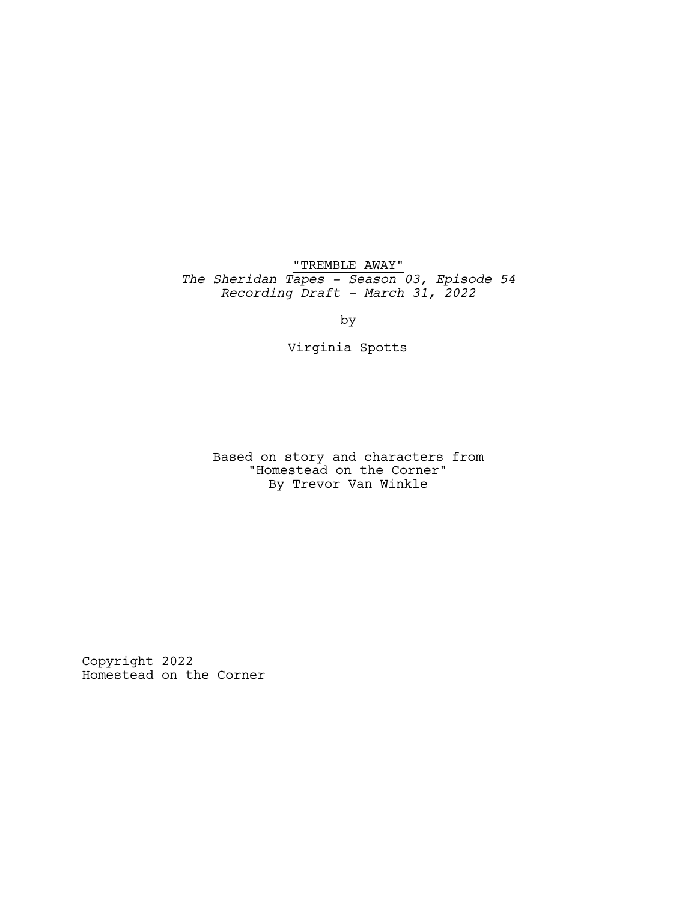"TREMBLE AWAY" *The Sheridan Tapes - Season 03, Episode 54 Recording Draft - March 31, 2022*

by

Virginia Spotts

Based on story and characters from "Homestead on the Corner" By Trevor Van Winkle

Copyright 2022 Homestead on the Corner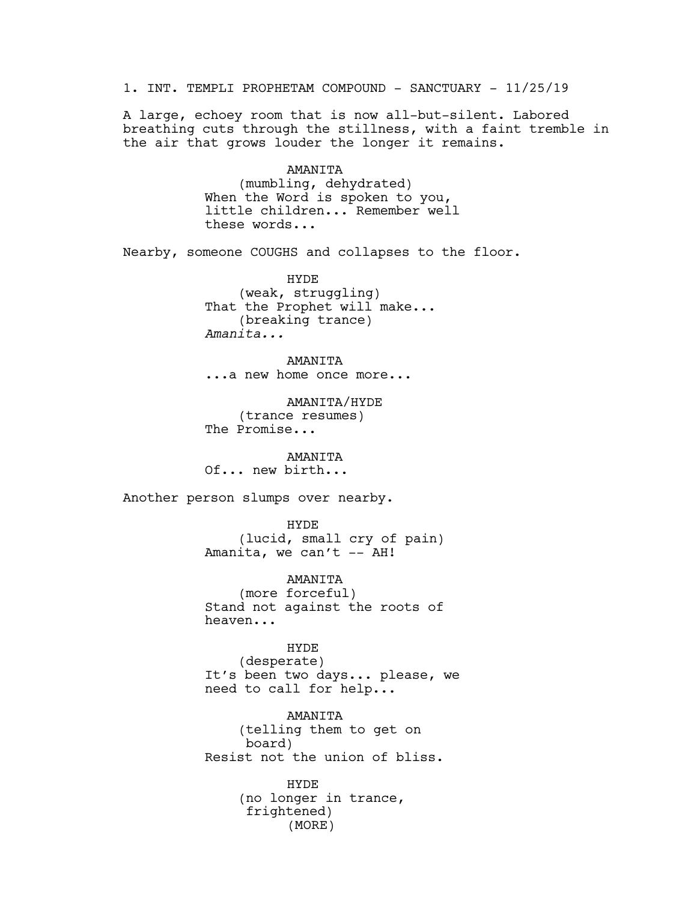1. INT. TEMPLI PROPHETAM COMPOUND - SANCTUARY - 11/25/19 A large, echoey room that is now all-but-silent. Labored breathing cuts through the stillness, with a faint tremble in the air that grows louder the longer it remains. AMANITA (mumbling, dehydrated) When the Word is spoken to you, little children... Remember well these words... Nearby, someone COUGHS and collapses to the floor. HYDE (weak, struggling) That the Prophet will make... (breaking trance) *Amanita...* AMANITA ...a new home once more... AMANITA/HYDE (trance resumes) The Promise... AMANITA Of... new birth... Another person slumps over nearby. HYDE (lucid, small cry of pain) Amanita, we can't -- AH! AMANITA (more forceful) Stand not against the roots of heaven... HYDE (desperate) It's been two days... please, we need to call for help... AMANITA (telling them to get on board) Resist not the union of bliss. HYDE (no longer in trance, frightened) (MORE)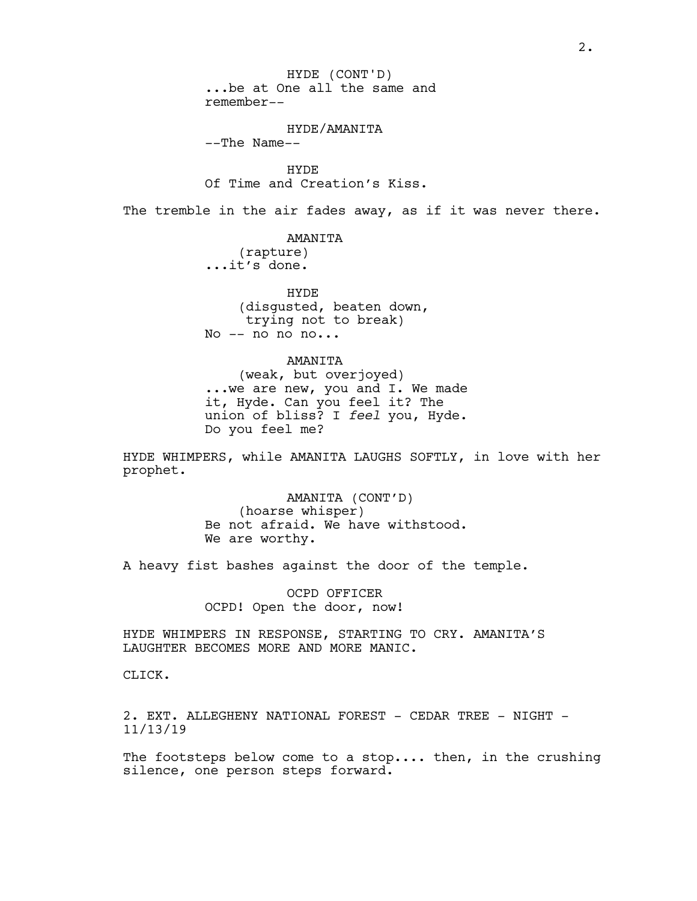...be at One all the same and remember-- HYDE (CONT'D)

## HYDE/AMANITA

--The Name--

HYDE Of Time and Creation's Kiss.

The tremble in the air fades away, as if it was never there.

AMANITA

(rapture) ...it's done.

HYDE (disgusted, beaten down, trying not to break) No  $--$  no no no...

AMANITA (weak, but overjoyed) ...we are new, you and I. We made it, Hyde. Can you feel it? The union of bliss? I *feel* you, Hyde. Do you feel me?

HYDE WHIMPERS, while AMANITA LAUGHS SOFTLY, in love with her prophet.

> AMANITA (CONT'D) (hoarse whisper) Be not afraid. We have withstood. We are worthy.

A heavy fist bashes against the door of the temple.

OCPD OFFICER OCPD! Open the door, now!

HYDE WHIMPERS IN RESPONSE, STARTING TO CRY. AMANITA'S LAUGHTER BECOMES MORE AND MORE MANIC.

CLICK.

2. EXT. ALLEGHENY NATIONAL FOREST - CEDAR TREE - NIGHT -11/13/19

The footsteps below come to a stop.... then, in the crushing silence, one person steps forward.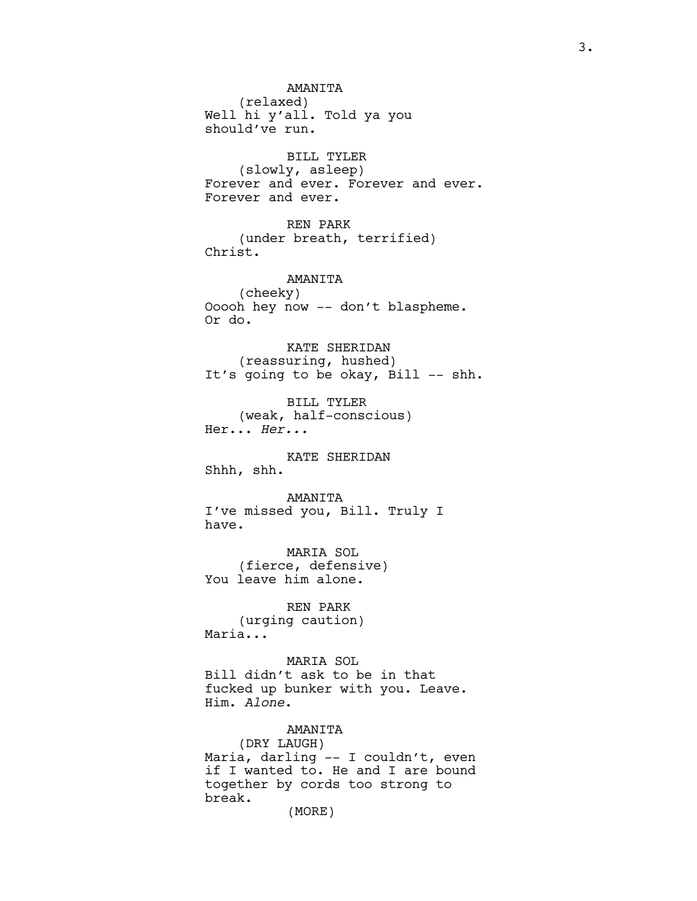AMANITA (relaxed) Well hi y'all. Told ya you should've run. BILL TYLER (slowly, asleep) Forever and ever. Forever and ever. Forever and ever. REN PARK (under breath, terrified) Christ. AMANITA (cheeky) Ooooh hey now -- don't blaspheme. Or do. KATE SHERIDAN (reassuring, hushed) It's going to be okay, Bill -- shh. BILL TYLER (weak, half-conscious) Her... *Her...* KATE SHERIDAN Shhh, shh. AMANITA I've missed you, Bill. Truly I have. MARIA SOL

(fierce, defensive) You leave him alone.

REN PARK (urging caution) Maria...

MARIA SOL Bill didn't ask to be in that fucked up bunker with you. Leave. Him. *Alone*.

AMANITA (DRY LAUGH) Maria, darling -- I couldn't, even if I wanted to. He and I are bound together by cords too strong to break.

(MORE)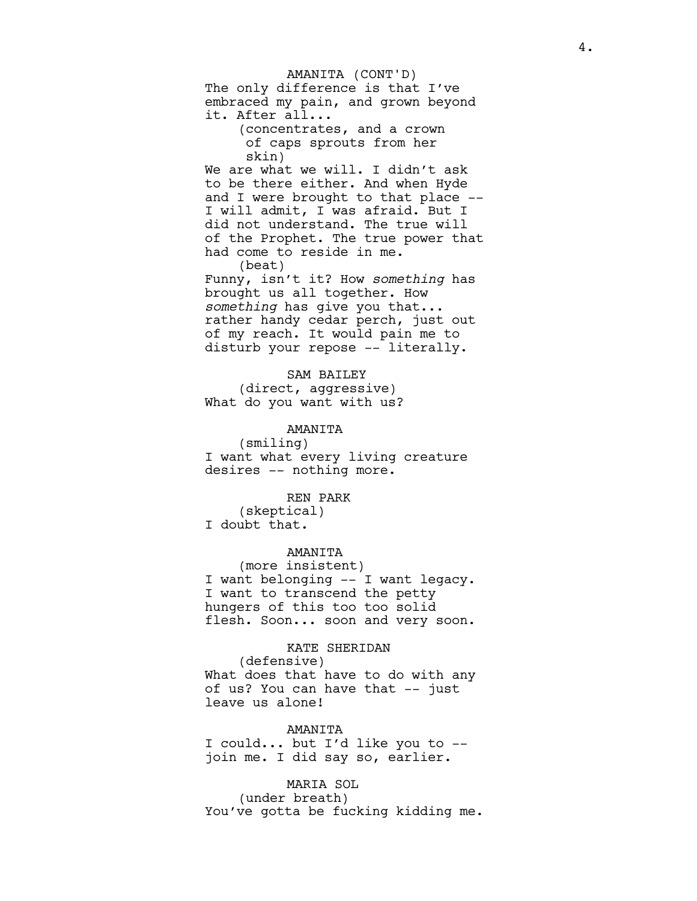The only difference is that I've embraced my pain, and grown beyond it. After all... AMANITA (CONT'D)

(concentrates, and a crown of caps sprouts from her skin)

We are what we will. I didn't ask to be there either. And when Hyde and I were brought to that place -- I will admit, I was afraid. But I did not understand. The true will of the Prophet. The true power that had come to reside in me. (beat)

Funny, isn't it? How *something* has brought us all together. How *something* has give you that... rather handy cedar perch, just out of my reach. It would pain me to disturb your repose -- literally.

SAM BAILEY (direct, aggressive) What do you want with us?

AMANITA (smiling) I want what every living creature desires -- nothing more.

REN PARK (skeptical) I doubt that.

AMANITA (more insistent) I want belonging -- I want legacy. I want to transcend the petty hungers of this too too solid flesh. Soon... soon and very soon.

KATE SHERIDAN (defensive) What does that have to do with any of us? You can have that -- just leave us alone!

AMANITA I could... but I'd like you to - join me. I did say so, earlier.

MARIA SOL (under breath) You've gotta be fucking kidding me.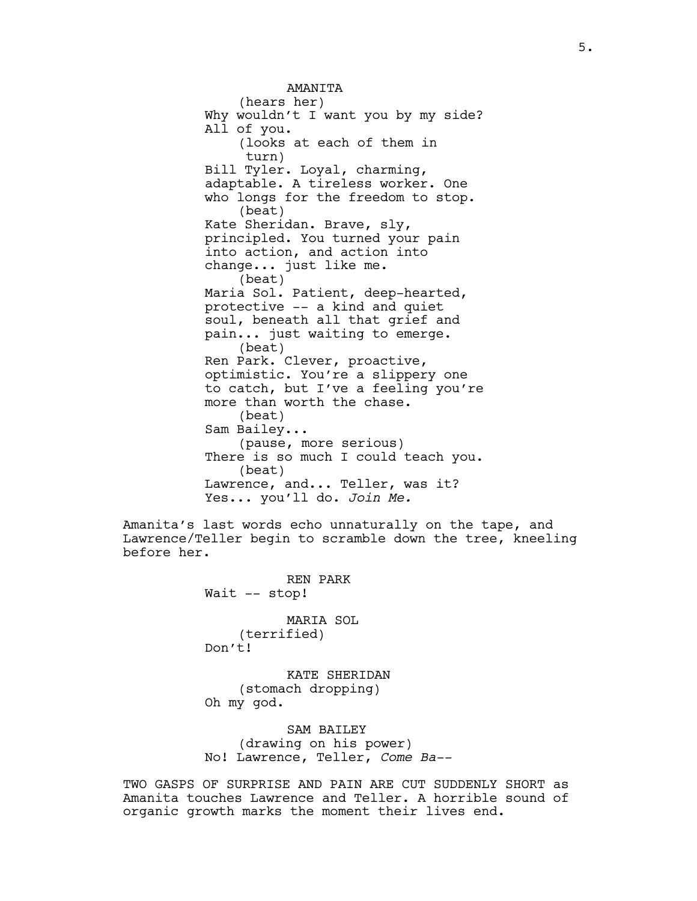**AMANTTA** (hears her) Why wouldn't I want you by my side? All of you. (looks at each of them in turn) Bill Tyler. Loyal, charming, adaptable. A tireless worker. One who longs for the freedom to stop. (beat) Kate Sheridan. Brave, sly, principled. You turned your pain into action, and action into change... just like me. (beat) Maria Sol. Patient, deep-hearted, protective -- a kind and quiet soul, beneath all that grief and pain... just waiting to emerge. (beat) Ren Park. Clever, proactive, optimistic. You're a slippery one to catch, but I've a feeling you're more than worth the chase. (beat) Sam Bailey... (pause, more serious) There is so much I could teach you. (beat) Lawrence, and... Teller, was it? Yes... you'll do. *Join Me.*

Amanita's last words echo unnaturally on the tape, and Lawrence/Teller begin to scramble down the tree, kneeling before her.

> REN PARK Wait -- stop! MARIA SOL

(terrified) Don't!

KATE SHERIDAN (stomach dropping) Oh my god.

SAM BAILEY (drawing on his power) No! Lawrence, Teller, *Come Ba--*

TWO GASPS OF SURPRISE AND PAIN ARE CUT SUDDENLY SHORT as Amanita touches Lawrence and Teller. A horrible sound of organic growth marks the moment their lives end.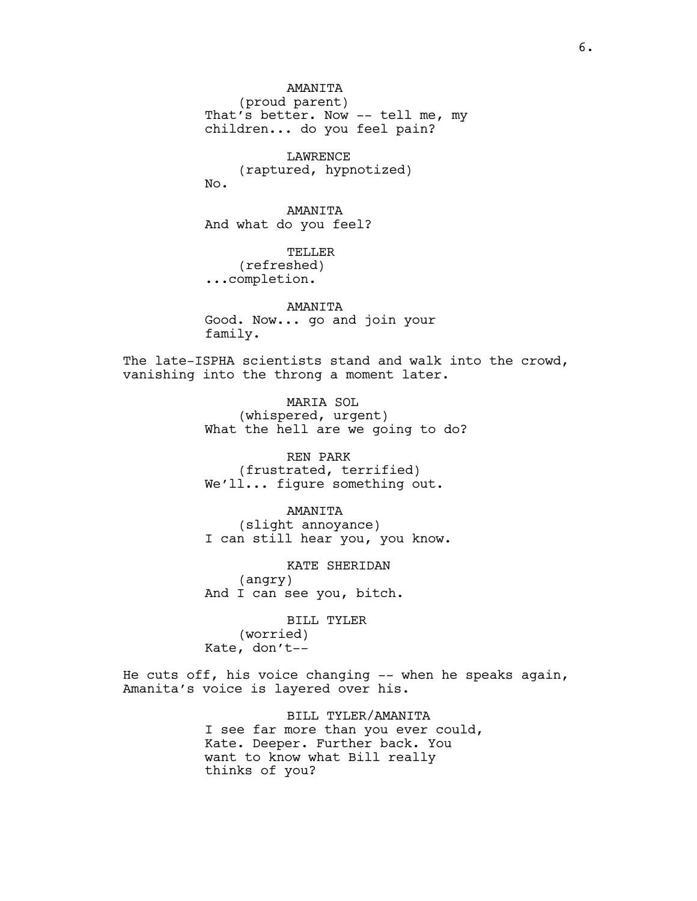AMANITA (proud parent) That's better. Now -- tell me, my children... do you feel pain?

LAWRENCE (raptured, hypnotized) No.

AMANITA And what do you feel?

TELLER (refreshed) ...completion.

AMANITA Good. Now... go and join your family.

The late-ISPHA scientists stand and walk into the crowd, vanishing into the throng a moment later.

> MARIA SOL (whispered, urgent) What the hell are we going to do?

REN PARK (frustrated, terrified) We'll... figure something out.

AMANITA (slight annoyance) I can still hear you, you know.

KATE SHERIDAN (angry) And I can see you, bitch.

BILL TYLER (worried) Kate, don't--

He cuts off, his voice changing -- when he speaks again, Amanita's voice is layered over his.

> BILL TYLER/AMANITA I see far more than you ever could, Kate. Deeper. Further back. You want to know what Bill really thinks of you?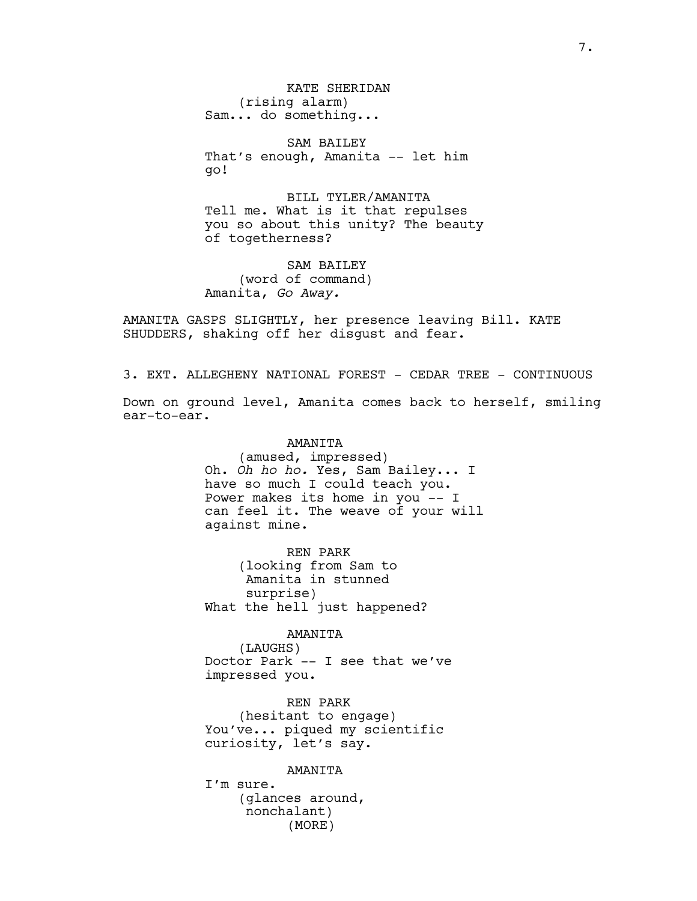KATE SHERIDAN (rising alarm) Sam... do something...

SAM BAILEY That's enough, Amanita -- let him go!

BILL TYLER/AMANITA Tell me. What is it that repulses you so about this unity? The beauty of togetherness?

SAM BAILEY (word of command) Amanita, *Go Away.*

AMANITA GASPS SLIGHTLY, her presence leaving Bill. KATE SHUDDERS, shaking off her disgust and fear.

3. EXT. ALLEGHENY NATIONAL FOREST - CEDAR TREE - CONTINUOUS

Down on ground level, Amanita comes back to herself, smiling ear-to-ear.

> AMANITA (amused, impressed) Oh. *Oh ho ho.* Yes, Sam Bailey... I have so much I could teach you. Power makes its home in you -- I can feel it. The weave of your will against mine.

REN PARK (looking from Sam to Amanita in stunned surprise) What the hell just happened?

AMANITA

(LAUGHS) Doctor Park -- I see that we've impressed you.

REN PARK (hesitant to engage) You've... piqued my scientific curiosity, let's say.

AMANITA

I'm sure. (glances around, nonchalant) (MORE)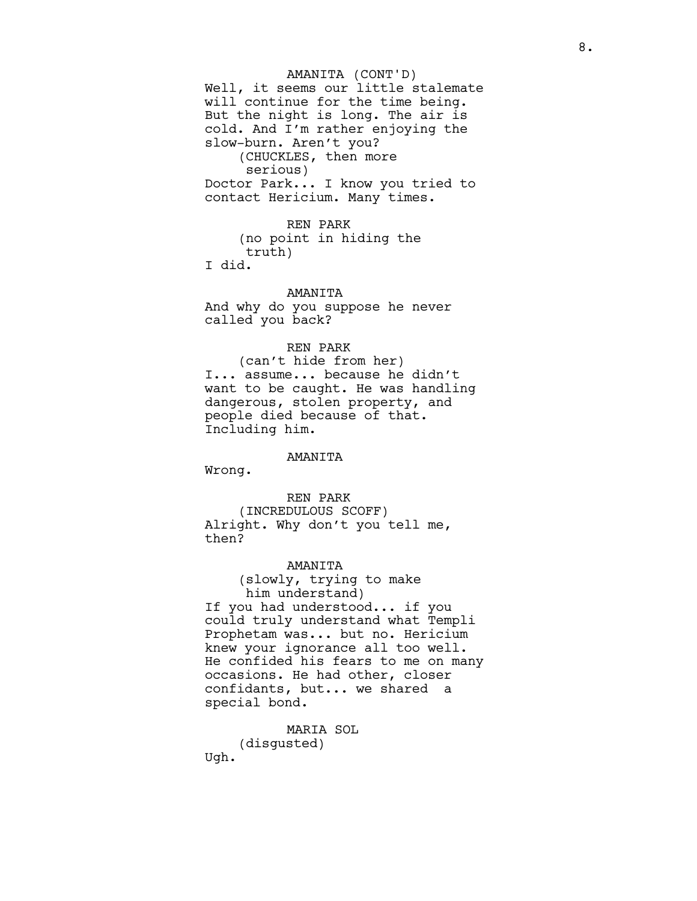Well, it seems our little stalemate will continue for the time being. But the night is long. The air is cold. And I'm rather enjoying the slow-burn. Aren't you? (CHUCKLES, then more serious) Doctor Park... I know you tried to contact Hericium. Many times. AMANITA (CONT'D)

REN PARK (no point in hiding the truth) I did.

AMANITA And why do you suppose he never called you back?

## REN PARK

(can't hide from her) I... assume... because he didn't want to be caught. He was handling dangerous, stolen property, and people died because of that. Including him.

## AMANITA

Wrong.

## REN PARK

(INCREDULOUS SCOFF) Alright. Why don't you tell me, then?

## AMANITA

(slowly, trying to make him understand) If you had understood... if you could truly understand what Templi Prophetam was... but no. Hericium knew your ignorance all too well. He confided his fears to me on many occasions. He had other, closer confidants, but... we shared a special bond.

MARIA SOL (disgusted) Ugh.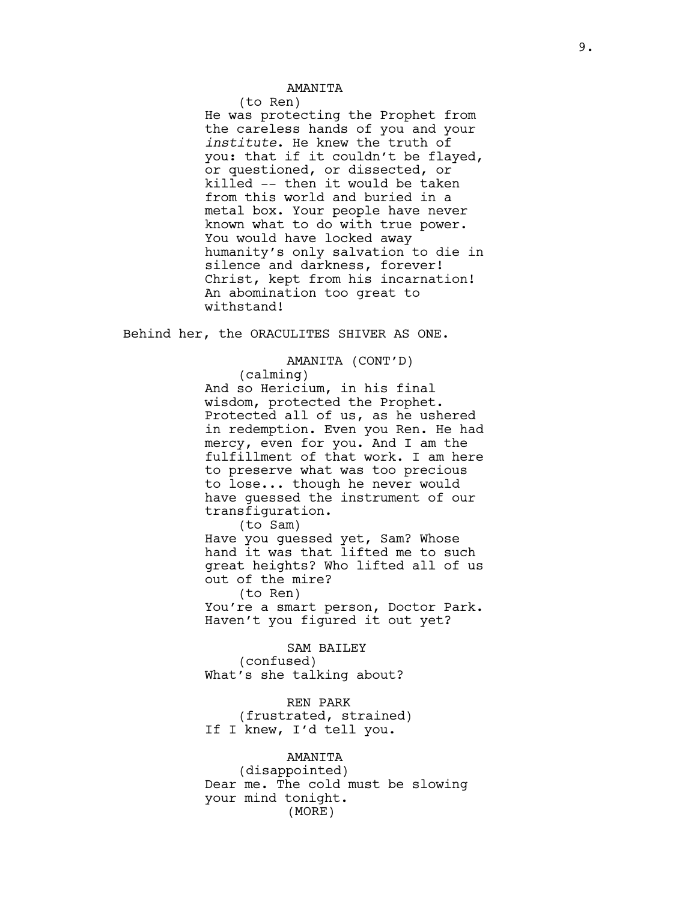## AMANITA

(to Ren)

He was protecting the Prophet from the careless hands of you and your *institute*. He knew the truth of you: that if it couldn't be flayed, or questioned, or dissected, or killed -- then it would be taken from this world and buried in a metal box. Your people have never known what to do with true power. You would have locked away humanity's only salvation to die in silence and darkness, forever! Christ, kept from his incarnation! An abomination too great to withstand!

Behind her, the ORACULITES SHIVER AS ONE.

## AMANITA (CONT'D)

(calming) And so Hericium, in his final wisdom, protected the Prophet. Protected all of us, as he ushered in redemption. Even you Ren. He had mercy, even for you. And I am the fulfillment of that work. I am here to preserve what was too precious to lose... though he never would have guessed the instrument of our transfiguration.

(to Sam)

Have you guessed yet, Sam? Whose hand it was that lifted me to such great heights? Who lifted all of us out of the mire?

(to Ren) You're a smart person, Doctor Park. Haven't you figured it out yet?

SAM BAILEY (confused) What's she talking about?

REN PARK (frustrated, strained) If I knew, I'd tell you.

AMANITA (disappointed) Dear me. The cold must be slowing your mind tonight. (MORE)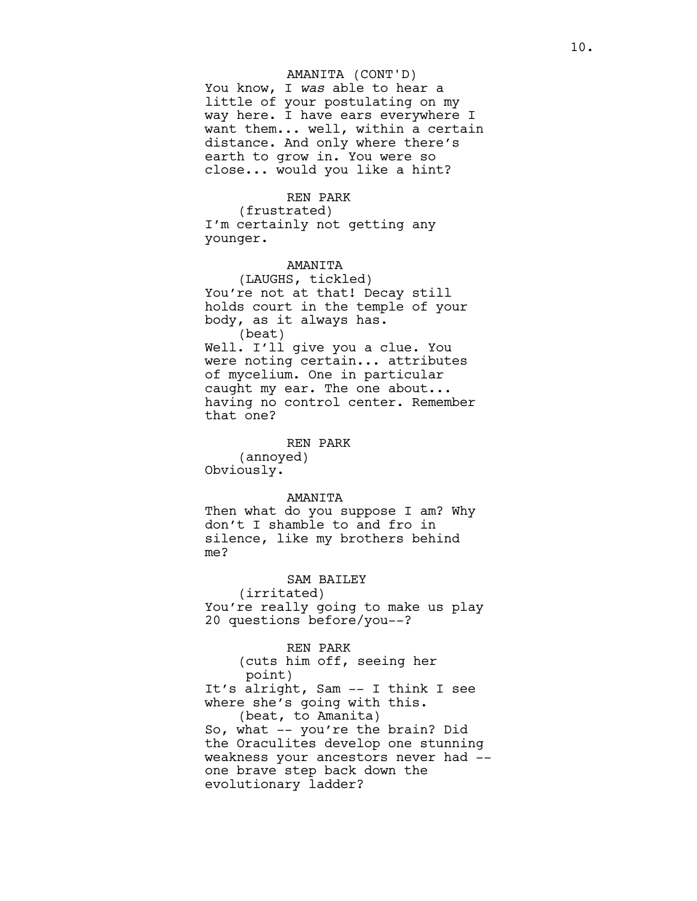### AMANITA (CONT'D)

You know, I *was* able to hear a little of your postulating on my way here. I have ears everywhere I want them... well, within a certain distance. And only where there's earth to grow in. You were so close... would you like a hint?

## REN PARK

(frustrated) I'm certainly not getting any younger.

## AMANITA

(LAUGHS, tickled) You're not at that! Decay still holds court in the temple of your body, as it always has. (beat) Well. I'll give you a clue. You were noting certain... attributes of mycelium. One in particular caught my ear. The one about... having no control center. Remember that one?

#### REN PARK

(annoyed) Obviously.

## AMANITA

Then what do you suppose I am? Why don't I shamble to and fro in silence, like my brothers behind me?

## SAM BAILEY

(irritated) You're really going to make us play 20 questions before/you--?

#### REN PARK

(cuts him off, seeing her point) It's alright, Sam -- I think I see where she's going with this. (beat, to Amanita) So, what -- you're the brain? Did the Oraculites develop one stunning weakness your ancestors never had - one brave step back down the evolutionary ladder?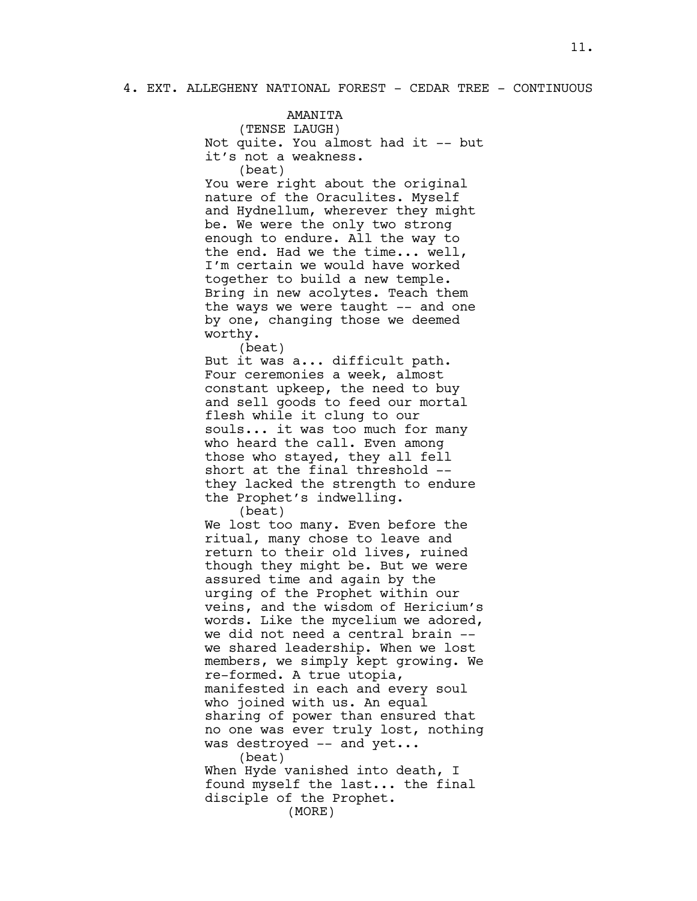AMANITA

(TENSE LAUGH) Not quite. You almost had it -- but it's not a weakness. (beat) You were right about the original nature of the Oraculites. Myself and Hydnellum, wherever they might be. We were the only two strong enough to endure. All the way to the end. Had we the time... well, I'm certain we would have worked together to build a new temple. Bring in new acolytes. Teach them the ways we were taught -- and one by one, changing those we deemed worthy. (beat) But it was a... difficult path. Four ceremonies a week, almost constant upkeep, the need to buy and sell goods to feed our mortal flesh while it clung to our souls... it was too much for many who heard the call. Even among those who stayed, they all fell short at the final threshold - they lacked the strength to endure the Prophet's indwelling. (beat) We lost too many. Even before the ritual, many chose to leave and return to their old lives, ruined though they might be. But we were assured time and again by the urging of the Prophet within our veins, and the wisdom of Hericium's words. Like the mycelium we adored, we did not need a central brain - we shared leadership. When we lost members, we simply kept growing. We re-formed. A true utopia, manifested in each and every soul who joined with us. An equal sharing of power than ensured that no one was ever truly lost, nothing was destroyed -- and yet... (beat) When Hyde vanished into death, I found myself the last... the final disciple of the Prophet. (MORE)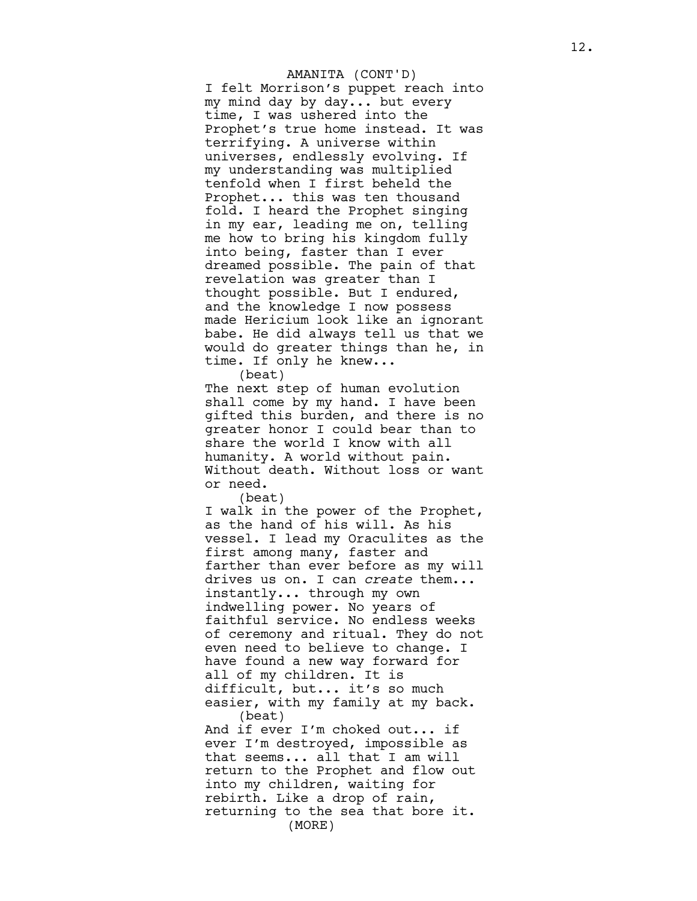I felt Morrison's puppet reach into my mind day by day... but every time, I was ushered into the Prophet's true home instead. It was terrifying. A universe within universes, endlessly evolving. If my understanding was multiplied tenfold when I first beheld the Prophet... this was ten thousand fold. I heard the Prophet singing in my ear, leading me on, telling me how to bring his kingdom fully into being, faster than I ever dreamed possible. The pain of that revelation was greater than I thought possible. But I endured, and the knowledge I now possess made Hericium look like an ignorant babe. He did always tell us that we would do greater things than he, in time. If only he knew... AMANITA (CONT'D)

(beat)

The next step of human evolution shall come by my hand. I have been gifted this burden, and there is no greater honor I could bear than to share the world I know with all humanity. A world without pain. Without death. Without loss or want or need.

(beat)

I walk in the power of the Prophet, as the hand of his will. As his vessel. I lead my Oraculites as the first among many, faster and farther than ever before as my will drives us on. I can *create* them... instantly... through my own indwelling power. No years of faithful service. No endless weeks of ceremony and ritual. They do not even need to believe to change. I have found a new way forward for all of my children. It is difficult, but... it's so much easier, with my family at my back. (beat) And if ever I'm choked out... if ever I'm destroyed, impossible as that seems... all that I am will return to the Prophet and flow out into my children, waiting for rebirth. Like a drop of rain, returning to the sea that bore it.

(MORE)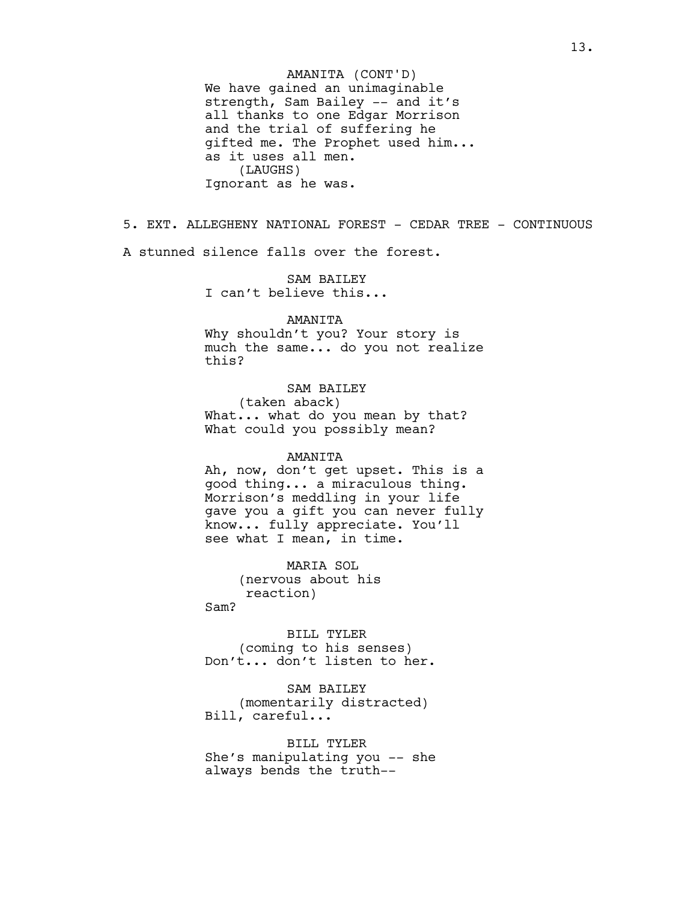We have gained an unimaginable strength, Sam Bailey -- and it's all thanks to one Edgar Morrison and the trial of suffering he gifted me. The Prophet used him... as it uses all men. (LAUGHS) Ignorant as he was. AMANITA (CONT'D)

5. EXT. ALLEGHENY NATIONAL FOREST - CEDAR TREE - CONTINUOUS A stunned silence falls over the forest.

> SAM BAILEY I can't believe this...

### AMANITA

Why shouldn't you? Your story is much the same... do you not realize this?

# SAM BAILEY

(taken aback) What... what do you mean by that? What could you possibly mean?

## AMANITA

Ah, now, don't get upset. This is a good thing... a miraculous thing. Morrison's meddling in your life gave you a gift you can never fully know... fully appreciate. You'll see what I mean, in time.

MARIA SOL (nervous about his reaction)

Sam?

BILL TYLER (coming to his senses) Don't... don't listen to her.

SAM BAILEY (momentarily distracted) Bill, careful...

BILL TYLER She's manipulating you -- she always bends the truth--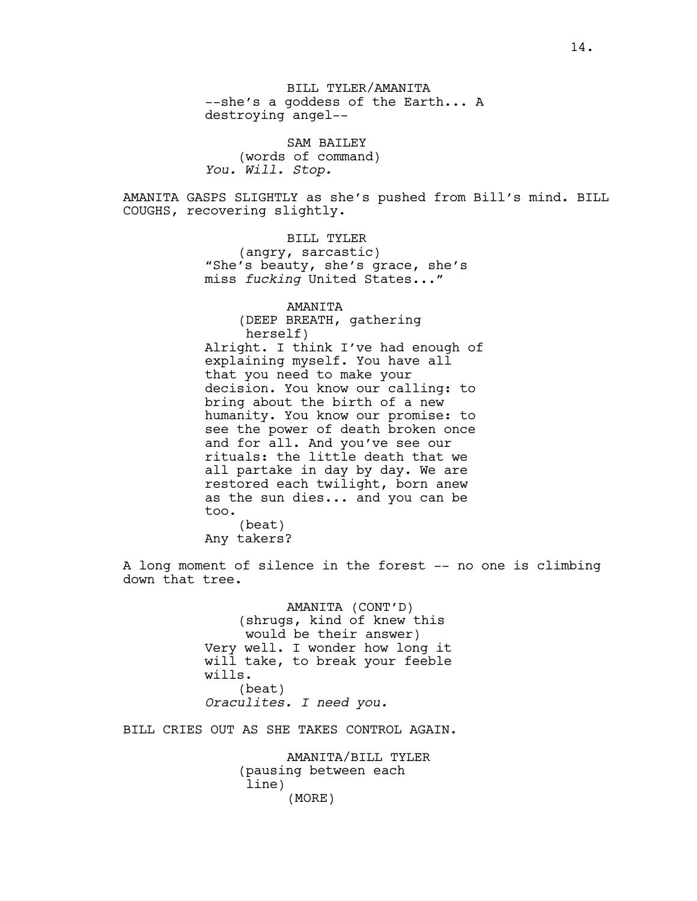BILL TYLER/AMANITA --she's a goddess of the Earth... A destroying angel--

SAM BAILEY (words of command) *You. Will. Stop.*

AMANITA GASPS SLIGHTLY as she's pushed from Bill's mind. BILL COUGHS, recovering slightly.

BILL TYLER

(angry, sarcastic) "She's beauty, she's grace, she's miss *fucking* United States..."

> AMANITA (DEEP BREATH, gathering herself)

Alright. I think I've had enough of explaining myself. You have all that you need to make your decision. You know our calling: to bring about the birth of a new humanity. You know our promise: to see the power of death broken once and for all. And you've see our rituals: the little death that we all partake in day by day. We are restored each twilight, born anew as the sun dies... and you can be too. (beat)

Any takers?

A long moment of silence in the forest -- no one is climbing down that tree.

> AMANITA (CONT'D) (shrugs, kind of knew this would be their answer) Very well. I wonder how long it will take, to break your feeble wills. (beat) *Oraculites. I need you.*

BILL CRIES OUT AS SHE TAKES CONTROL AGAIN.

AMANITA/BILL TYLER (pausing between each line) (MORE)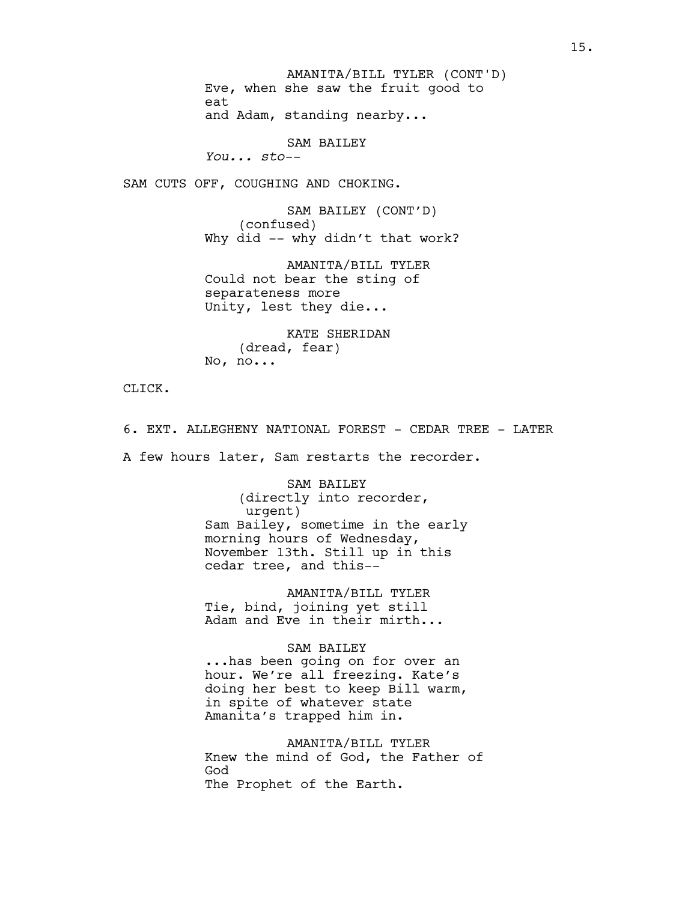Eve, when she saw the fruit good to eat and Adam, standing nearby... AMANITA/BILL TYLER (CONT'D)

SAM BAILEY

*You... sto--*

SAM CUTS OFF, COUGHING AND CHOKING.

SAM BAILEY (CONT'D) (confused) Why did -- why didn't that work?

AMANITA/BILL TYLER Could not bear the sting of separateness more Unity, lest they die...

KATE SHERIDAN (dread, fear) No, no...

CLICK.

6. EXT. ALLEGHENY NATIONAL FOREST - CEDAR TREE - LATER

A few hours later, Sam restarts the recorder.

SAM BAILEY (directly into recorder, urgent) Sam Bailey, sometime in the early morning hours of Wednesday, November 13th. Still up in this cedar tree, and this--

AMANITA/BILL TYLER Tie, bind, joining yet still Adam and Eve in their mirth...

## SAM BAILEY

...has been going on for over an hour. We're all freezing. Kate's doing her best to keep Bill warm, in spite of whatever state Amanita's trapped him in.

AMANITA/BILL TYLER Knew the mind of God, the Father of God The Prophet of the Earth.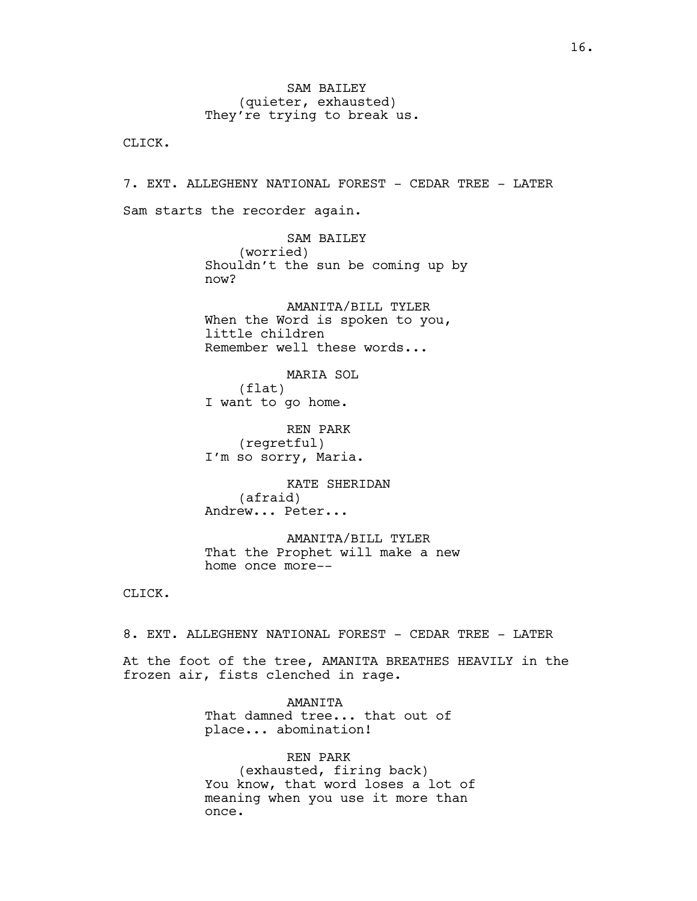SAM BAILEY (quieter, exhausted) They're trying to break us.

CLICK.

7. EXT. ALLEGHENY NATIONAL FOREST - CEDAR TREE - LATER Sam starts the recorder again.

> SAM BAILEY (worried) Shouldn't the sun be coming up by now?

AMANITA/BILL TYLER When the Word is spoken to you, little children Remember well these words...

MARIA SOL (flat) I want to go home.

REN PARK (regretful) I'm so sorry, Maria.

KATE SHERIDAN (afraid) Andrew... Peter...

AMANITA/BILL TYLER That the Prophet will make a new home once more--

CLICK.

8. EXT. ALLEGHENY NATIONAL FOREST - CEDAR TREE - LATER

At the foot of the tree, AMANITA BREATHES HEAVILY in the frozen air, fists clenched in rage.

> AMANITA That damned tree... that out of place... abomination!

REN PARK (exhausted, firing back) You know, that word loses a lot of meaning when you use it more than once.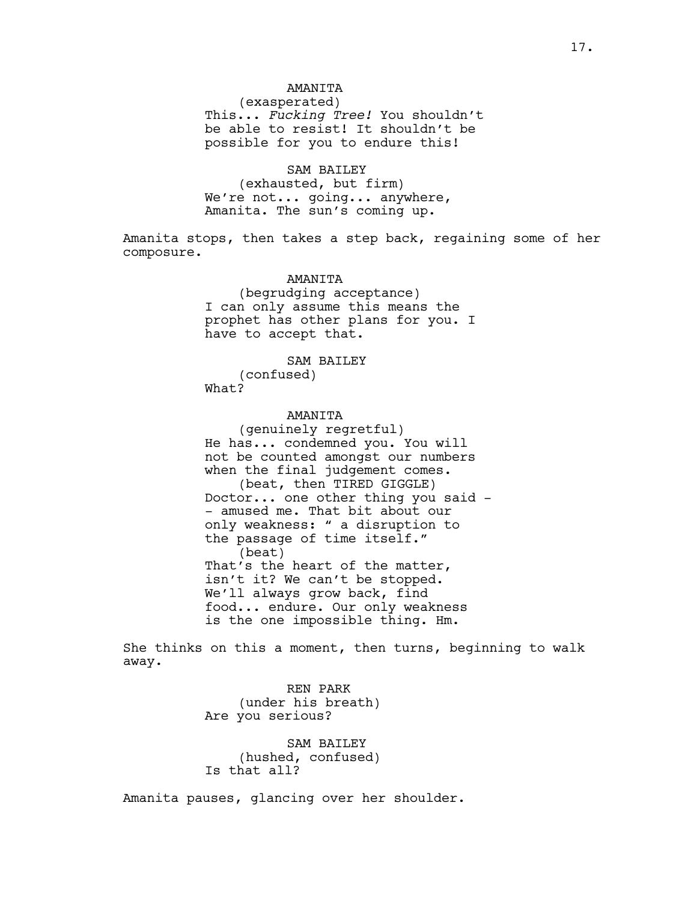## AMANITA

(exasperated) This... *Fucking Tree!* You shouldn't be able to resist! It shouldn't be possible for you to endure this!

## SAM BAILEY

(exhausted, but firm) We're not... going... anywhere, Amanita. The sun's coming up.

Amanita stops, then takes a step back, regaining some of her composure.

#### AMANITA

(begrudging acceptance) I can only assume this means the prophet has other plans for you. I have to accept that.

### SAM BAILEY

(confused) What?

## **AMANTTA**

(genuinely regretful) He has... condemned you. You will not be counted amongst our numbers when the final judgement comes. (beat, then TIRED GIGGLE) Doctor... one other thing you said - - amused me. That bit about our only weakness: " a disruption to the passage of time itself." (beat) That's the heart of the matter, isn't it? We can't be stopped. We'll always grow back, find food... endure. Our only weakness is the one impossible thing. Hm.

She thinks on this a moment, then turns, beginning to walk away.

> REN PARK (under his breath) Are you serious?

> SAM BAILEY (hushed, confused) Is that all?

Amanita pauses, glancing over her shoulder.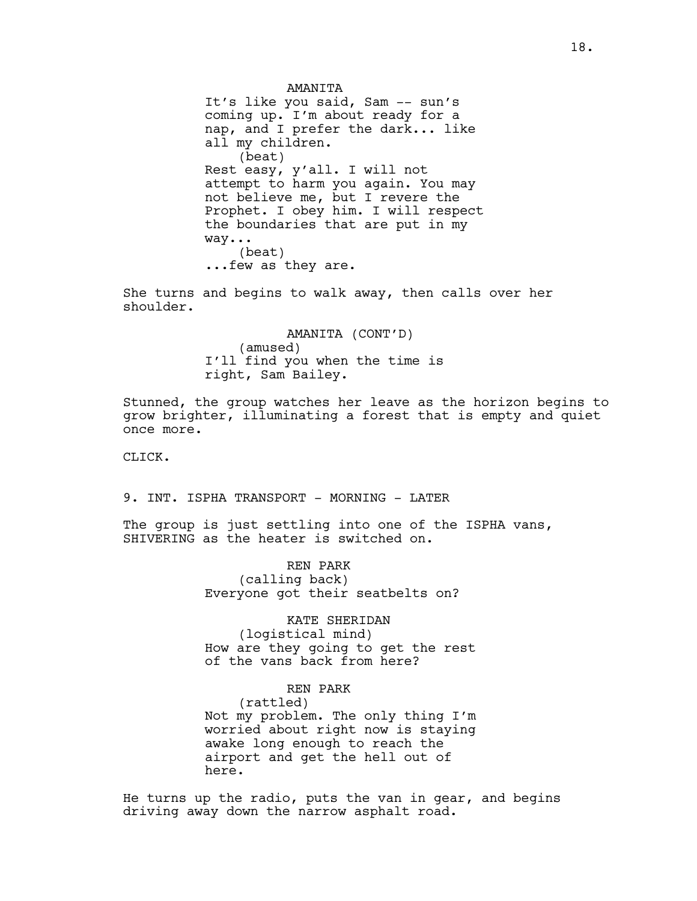AMANITA It's like you said, Sam -- sun's coming up. I'm about ready for a nap, and I prefer the dark... like all my children. (beat) Rest easy, y'all. I will not attempt to harm you again. You may not believe me, but I revere the Prophet. I obey him. I will respect the boundaries that are put in my way... (beat) ...few as they are.

She turns and begins to walk away, then calls over her shoulder.

> AMANITA (CONT'D) (amused) I'll find you when the time is right, Sam Bailey.

Stunned, the group watches her leave as the horizon begins to grow brighter, illuminating a forest that is empty and quiet once more.

CLICK.

9. INT. ISPHA TRANSPORT - MORNING - LATER

The group is just settling into one of the ISPHA vans, SHIVERING as the heater is switched on.

> REN PARK (calling back) Everyone got their seatbelts on?

KATE SHERIDAN (logistical mind) How are they going to get the rest of the vans back from here?

REN PARK (rattled) Not my problem. The only thing I'm worried about right now is staying awake long enough to reach the airport and get the hell out of here.

He turns up the radio, puts the van in gear, and begins driving away down the narrow asphalt road.